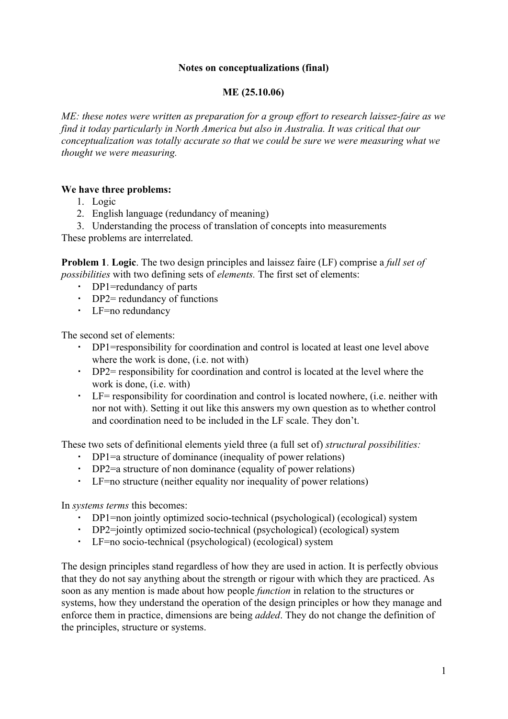## **Notes on conceptualizations (final)**

## **ME (25.10.06)**

*ME: these notes were written as preparation for a group effort to research laissez-faire as we find it today particularly in North America but also in Australia. It was critical that our conceptualization was totally accurate so that we could be sure we were measuring what we thought we were measuring.*

## **We have three problems:**

- 1. Logic
- 2. English language (redundancy of meaning)

3. Understanding the process of translation of concepts into measurements

These problems are interrelated.

**Problem 1**. **Logic**. The two design principles and laissez faire (LF) comprise a *full set of possibilities* with two defining sets of *elements.* The first set of elements:

- DP1=redundancy of parts
- DP2= redundancy of functions
- LF=no redundancy

The second set of elements:

- DP1=responsibility for coordination and control is located at least one level above where the work is done, (i.e. not with)
- DP2= responsibility for coordination and control is located at the level where the work is done, (i.e. with)
- LF= responsibility for coordination and control is located nowhere, (i.e. neither with nor not with). Setting it out like this answers my own question as to whether control and coordination need to be included in the LF scale. They don't.

These two sets of definitional elements yield three (a full set of) *structural possibilities:*

- DP1=a structure of dominance (inequality of power relations)
- DP2=a structure of non dominance (equality of power relations)
- LF=no structure (neither equality nor inequality of power relations)

In *systems terms* this becomes:

- DP1=non jointly optimized socio-technical (psychological) (ecological) system
- DP2=jointly optimized socio-technical (psychological) (ecological) system
- LF=no socio-technical (psychological) (ecological) system

The design principles stand regardless of how they are used in action. It is perfectly obvious that they do not say anything about the strength or rigour with which they are practiced. As soon as any mention is made about how people *function* in relation to the structures or systems, how they understand the operation of the design principles or how they manage and enforce them in practice, dimensions are being *added*. They do not change the definition of the principles, structure or systems.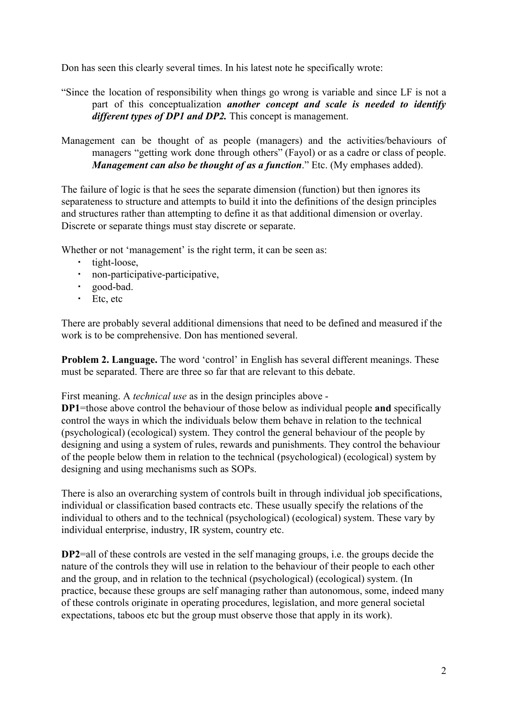Don has seen this clearly several times. In his latest note he specifically wrote:

- "Since the location of responsibility when things go wrong is variable and since LF is not a part of this conceptualization *another concept and scale is needed to identify different types of DP1 and DP2.* This concept is management.
- Management can be thought of as people (managers) and the activities/behaviours of managers "getting work done through others" (Fayol) or as a cadre or class of people. *Management can also be thought of as a function*." Etc. (My emphases added).

The failure of logic is that he sees the separate dimension (function) but then ignores its separateness to structure and attempts to build it into the definitions of the design principles and structures rather than attempting to define it as that additional dimension or overlay. Discrete or separate things must stay discrete or separate.

Whether or not 'management' is the right term, it can be seen as:

- tight-loose,
- non-participative-participative,
- good-bad.
- Etc, etc

There are probably several additional dimensions that need to be defined and measured if the work is to be comprehensive. Don has mentioned several.

**Problem 2. Language.** The word 'control' in English has several different meanings. These must be separated. There are three so far that are relevant to this debate.

First meaning. A *technical use* as in the design principles above -

**DP1**=those above control the behaviour of those below as individual people **and** specifically control the ways in which the individuals below them behave in relation to the technical (psychological) (ecological) system. They control the general behaviour of the people by designing and using a system of rules, rewards and punishments. They control the behaviour of the people below them in relation to the technical (psychological) (ecological) system by designing and using mechanisms such as SOPs.

There is also an overarching system of controls built in through individual job specifications, individual or classification based contracts etc. These usually specify the relations of the individual to others and to the technical (psychological) (ecological) system. These vary by individual enterprise, industry, IR system, country etc.

**DP2**=all of these controls are vested in the self managing groups, i.e. the groups decide the nature of the controls they will use in relation to the behaviour of their people to each other and the group, and in relation to the technical (psychological) (ecological) system. (In practice, because these groups are self managing rather than autonomous, some, indeed many of these controls originate in operating procedures, legislation, and more general societal expectations, taboos etc but the group must observe those that apply in its work).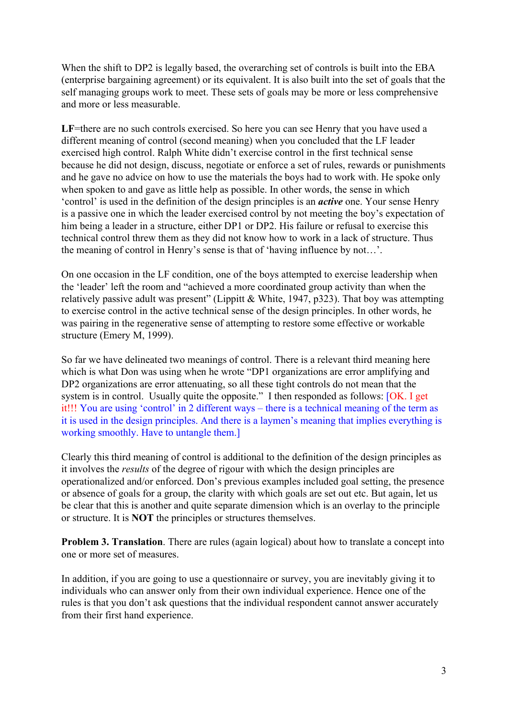When the shift to DP2 is legally based, the overarching set of controls is built into the EBA (enterprise bargaining agreement) or its equivalent. It is also built into the set of goals that the self managing groups work to meet. These sets of goals may be more or less comprehensive and more or less measurable.

LF=there are no such controls exercised. So here you can see Henry that you have used a different meaning of control (second meaning) when you concluded that the LF leader exercised high control. Ralph White didn't exercise control in the first technical sense because he did not design, discuss, negotiate or enforce a set of rules, rewards or punishments and he gave no advice on how to use the materials the boys had to work with. He spoke only when spoken to and gave as little help as possible. In other words, the sense in which 'control' is used in the definition of the design principles is an *active* one. Your sense Henry is a passive one in which the leader exercised control by not meeting the boy's expectation of him being a leader in a structure, either DP1 or DP2. His failure or refusal to exercise this technical control threw them as they did not know how to work in a lack of structure. Thus the meaning of control in Henry's sense is that of 'having influence by not…'.

On one occasion in the LF condition, one of the boys attempted to exercise leadership when the 'leader' left the room and "achieved a more coordinated group activity than when the relatively passive adult was present" (Lippitt & White, 1947, p323). That boy was attempting to exercise control in the active technical sense of the design principles. In other words, he was pairing in the regenerative sense of attempting to restore some effective or workable structure (Emery M, 1999).

So far we have delineated two meanings of control. There is a relevant third meaning here which is what Don was using when he wrote "DP1 organizations are error amplifying and DP2 organizations are error attenuating, so all these tight controls do not mean that the system is in control. Usually quite the opposite." I then responded as follows: [OK. I get it!!! You are using 'control' in 2 different ways – there is a technical meaning of the term as it is used in the design principles. And there is a laymen's meaning that implies everything is working smoothly. Have to untangle them.]

Clearly this third meaning of control is additional to the definition of the design principles as it involves the *results* of the degree of rigour with which the design principles are operationalized and/or enforced. Don's previous examples included goal setting, the presence or absence of goals for a group, the clarity with which goals are set out etc. But again, let us be clear that this is another and quite separate dimension which is an overlay to the principle or structure. It is **NOT** the principles or structures themselves.

**Problem 3. Translation**. There are rules (again logical) about how to translate a concept into one or more set of measures.

In addition, if you are going to use a questionnaire or survey, you are inevitably giving it to individuals who can answer only from their own individual experience. Hence one of the rules is that you don't ask questions that the individual respondent cannot answer accurately from their first hand experience.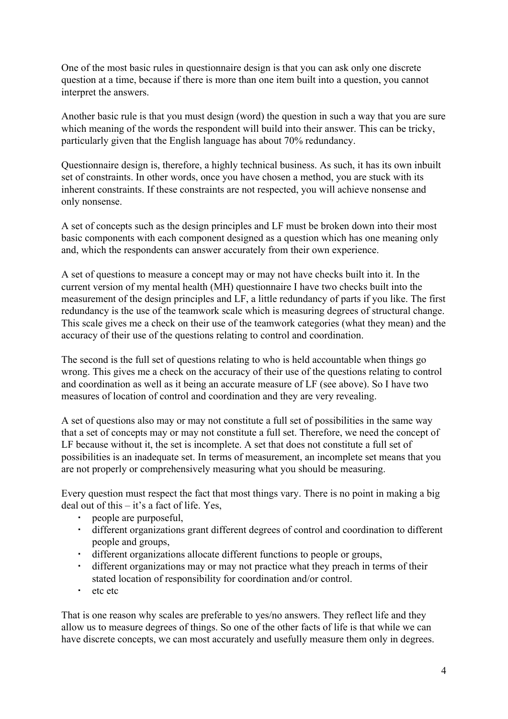One of the most basic rules in questionnaire design is that you can ask only one discrete question at a time, because if there is more than one item built into a question, you cannot interpret the answers.

Another basic rule is that you must design (word) the question in such a way that you are sure which meaning of the words the respondent will build into their answer. This can be tricky, particularly given that the English language has about 70% redundancy.

Questionnaire design is, therefore, a highly technical business. As such, it has its own inbuilt set of constraints. In other words, once you have chosen a method, you are stuck with its inherent constraints. If these constraints are not respected, you will achieve nonsense and only nonsense.

A set of concepts such as the design principles and LF must be broken down into their most basic components with each component designed as a question which has one meaning only and, which the respondents can answer accurately from their own experience.

A set of questions to measure a concept may or may not have checks built into it. In the current version of my mental health (MH) questionnaire I have two checks built into the measurement of the design principles and LF, a little redundancy of parts if you like. The first redundancy is the use of the teamwork scale which is measuring degrees of structural change. This scale gives me a check on their use of the teamwork categories (what they mean) and the accuracy of their use of the questions relating to control and coordination.

The second is the full set of questions relating to who is held accountable when things go wrong. This gives me a check on the accuracy of their use of the questions relating to control and coordination as well as it being an accurate measure of LF (see above). So I have two measures of location of control and coordination and they are very revealing.

A set of questions also may or may not constitute a full set of possibilities in the same way that a set of concepts may or may not constitute a full set. Therefore, we need the concept of LF because without it, the set is incomplete. A set that does not constitute a full set of possibilities is an inadequate set. In terms of measurement, an incomplete set means that you are not properly or comprehensively measuring what you should be measuring.

Every question must respect the fact that most things vary. There is no point in making a big deal out of this – it's a fact of life. Yes,

- people are purposeful,
- different organizations grant different degrees of control and coordination to different people and groups,
- different organizations allocate different functions to people or groups,
- different organizations may or may not practice what they preach in terms of their stated location of responsibility for coordination and/or control.
- etc etc

That is one reason why scales are preferable to yes/no answers. They reflect life and they allow us to measure degrees of things. So one of the other facts of life is that while we can have discrete concepts, we can most accurately and usefully measure them only in degrees.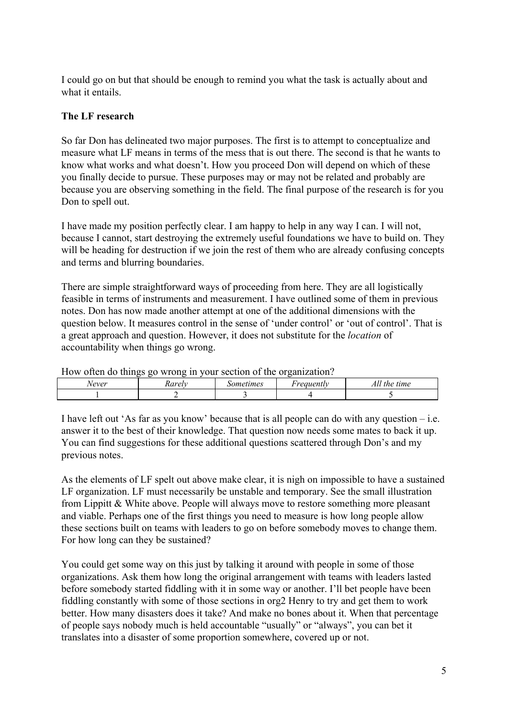I could go on but that should be enough to remind you what the task is actually about and what it entails.

## **The LF research**

So far Don has delineated two major purposes. The first is to attempt to conceptualize and measure what LF means in terms of the mess that is out there. The second is that he wants to know what works and what doesn't. How you proceed Don will depend on which of these you finally decide to pursue. These purposes may or may not be related and probably are because you are observing something in the field. The final purpose of the research is for you Don to spell out.

I have made my position perfectly clear. I am happy to help in any way I can. I will not, because I cannot, start destroying the extremely useful foundations we have to build on. They will be heading for destruction if we join the rest of them who are already confusing concepts and terms and blurring boundaries.

There are simple straightforward ways of proceeding from here. They are all logistically feasible in terms of instruments and measurement. I have outlined some of them in previous notes. Don has now made another attempt at one of the additional dimensions with the question below. It measures control in the sense of 'under control' or 'out of control'. That is a great approach and question. However, it does not substitute for the *location* of accountability when things go wrong.

| TION OILON QU'UNINGS GU MIUNG IN YOUI SOCHUN UI UIC UI GUINZUNUN, |        |           |           |              |
|-------------------------------------------------------------------|--------|-----------|-----------|--------------|
| vever                                                             | xarelv | Sometumes | reauently | All the time |
|                                                                   |        |           |           |              |
|                                                                   |        |           |           |              |

How often do things go wrong in your section of the organization?

I have left out 'As far as you know' because that is all people can do with any question  $-$  i.e. answer it to the best of their knowledge. That question now needs some mates to back it up. You can find suggestions for these additional questions scattered through Don's and my previous notes.

As the elements of LF spelt out above make clear, it is nigh on impossible to have a sustained LF organization. LF must necessarily be unstable and temporary. See the small illustration from Lippitt & White above. People will always move to restore something more pleasant and viable. Perhaps one of the first things you need to measure is how long people allow these sections built on teams with leaders to go on before somebody moves to change them. For how long can they be sustained?

You could get some way on this just by talking it around with people in some of those organizations. Ask them how long the original arrangement with teams with leaders lasted before somebody started fiddling with it in some way or another. I'll bet people have been fiddling constantly with some of those sections in org2 Henry to try and get them to work better. How many disasters does it take? And make no bones about it. When that percentage of people says nobody much is held accountable "usually" or "always", you can bet it translates into a disaster of some proportion somewhere, covered up or not.